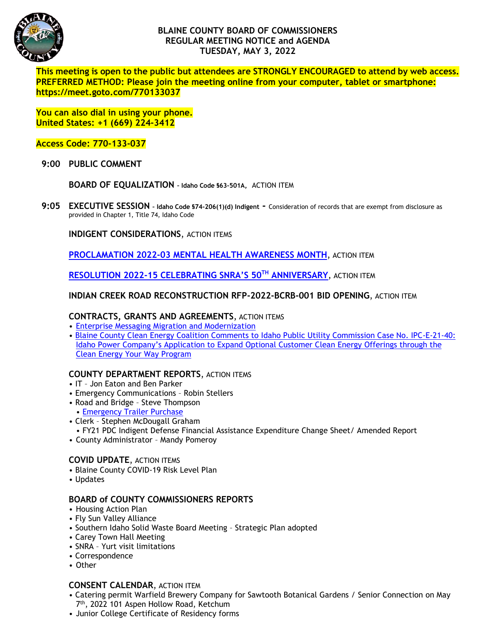

# **BLAINE COUNTY BOARD OF COMMISSIONERS REGULAR MEETING NOTICE and AGENDA TUESDAY, MAY 3, 2022**

**This meeting is open to the public but attendees are STRONGLY ENCOURAGED to attend by web access. PREFERRED METHOD: Please join the meeting online from your computer, tablet or smartphone: https://meet.goto.com/770133037** 

**You can also dial in using your phone. United States: +1 (669) 224-3412** 

**Access Code: 770-133-037**

 **9:00 PUBLIC COMMENT**

**BOARD OF EQUALIZATION – Idaho Code §63-501A,** ACTION ITEM

**9:05 EXECUTIVE SESSION – Idaho Code §74-206(1)(d) Indigent -** Consideration of records that are exempt from disclosure as provided in Chapter 1, Title 74, Idaho Code

**INDIGENT CONSIDERATIONS**, ACTION ITEMS

**PROCLAMATION 2022-03 [MENTAL HEALTH AWARENESS MONTH](https://www.co.blaine.id.us/DocumentCenter/View/18541/2022-Mental-Health-Proclamation)**, ACTION ITEM

**[RESOLUTION 2022-15 CELEBRATING SNRA'S 50TH](https://www.co.blaine.id.us/DocumentCenter/View/18542/SNRA-50th-Anniversary-Resolution) ANNIVERSARY**, ACTION ITEM

# **INDIAN CREEK ROAD RECONSTRUCTION RFP-2022-BCRB-001 BID OPENING**, ACTION ITEM

### **CONTRACTS, GRANTS AND AGREEMENTS**, ACTION ITEMS

- [Enterprise Messaging Migration and Modernization](https://www.co.blaine.id.us/DocumentCenter/View/18539/Enterprise-Messaging-Migration-and-Modernization)
- [Blaine County Clean Energy Coalition Comments to Idaho Public Utility Commission Case No. IPC-E-21-40:](https://www.co.blaine.id.us/DocumentCenter/View/18545/IPC-E-21-40-Comments)  [Idaho Power Company's Application to Expand Optional Customer Clean Energy Offerings through the](https://www.co.blaine.id.us/DocumentCenter/View/18545/IPC-E-21-40-Comments)  [Clean Energy Your Way Program](https://www.co.blaine.id.us/DocumentCenter/View/18545/IPC-E-21-40-Comments)

### **COUNTY DEPARTMENT REPORTS**, ACTION ITEMS

- IT Jon Eaton and Ben Parker
- Emergency Communications Robin Stellers
- Road and Bridge Steve Thompson • [Emergency Trailer Purchase](https://www.co.blaine.id.us/DocumentCenter/View/18543/Trailer-Purchase)
- Clerk Stephen McDougall Graham
	- FY21 PDC Indigent Defense Financial Assistance Expenditure Change Sheet/ Amended Report
- County Administrator Mandy Pomeroy

### **COVID UPDATE**, ACTION ITEMS

- Blaine County COVID-19 Risk Level Plan
- Updates

### **BOARD of COUNTY COMMISSIONERS REPORTS**

- Housing Action Plan
- Fly Sun Valley Alliance
- Southern Idaho Solid Waste Board Meeting Strategic Plan adopted
- Carey Town Hall Meeting
- SNRA Yurt visit limitations
- Correspondence
- Other

### **CONSENT CALENDAR**, ACTION ITEM

- Catering permit Warfield Brewery Company for Sawtooth Botanical Gardens / Senior Connection on May 7th, 2022 101 Aspen Hollow Road, Ketchum
- Junior College Certificate of Residency forms